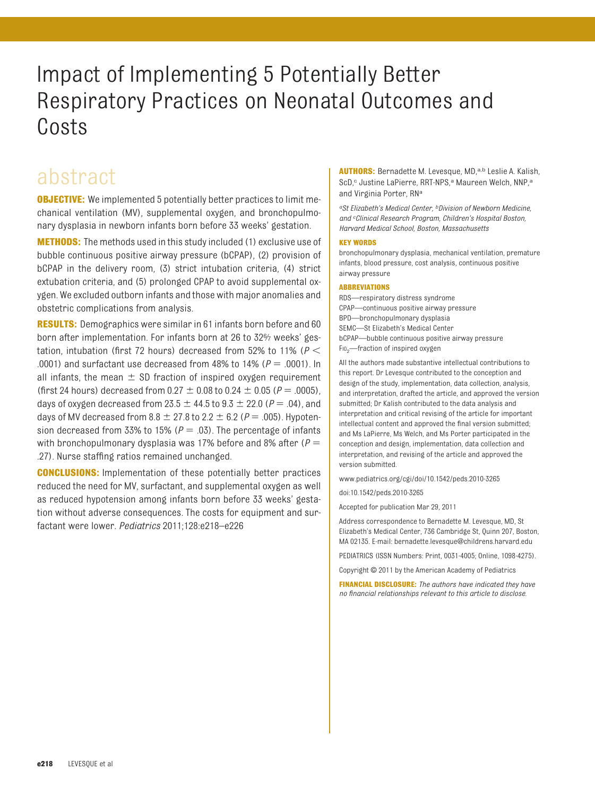# Impact of Implementing 5 Potentially Better Respiratory Practices on Neonatal Outcomes and Costs

## abstract

**OBJECTIVE:** We implemented 5 potentially better practices to limit mechanical ventilation (MV), supplemental oxygen, and bronchopulmonary dysplasia in newborn infants born before 33 weeks' gestation.

**METHODS:** The methods used in this study included (1) exclusive use of bubble continuous positive airway pressure (bCPAP), (2) provision of bCPAP in the delivery room, (3) strict intubation criteria, (4) strict extubation criteria, and (5) prolonged CPAP to avoid supplemental oxygen. We excluded outborn infants and those with major anomalies and obstetric complications from analysis.

**RESULTS:** Demographics were similar in 61 infants born before and 60 born after implementation. For infants born at 26 to 32% weeks' gestation, intubation (first 72 hours) decreased from 52% to 11% (*P* .0001) and surfactant use decreased from  $48\%$  to  $14\%$  ( $P = .0001$ ). In all infants, the mean  $\pm$  SD fraction of inspired oxygen requirement (first 24 hours) decreased from  $0.27 \pm 0.08$  to  $0.24 \pm 0.05$  ( $P = .0005$ ), days of oxygen decreased from  $23.5 \pm 44.5$  to  $9.3 \pm 22.0$  ( $P = .04$ ), and days of MV decreased from  $8.8 \pm 27.8$  to  $2.2 \pm 6.2$  ( $P = .005$ ). Hypotension decreased from 33% to 15% ( $P = .03$ ). The percentage of infants with bronchopulmonary dysplasia was 17% before and 8% after ( $P =$ .27). Nurse staffing ratios remained unchanged.

**CONCLUSIONS:** Implementation of these potentially better practices reduced the need for MV, surfactant, and supplemental oxygen as well as reduced hypotension among infants born before 33 weeks' gestation without adverse consequences. The costs for equipment and surfactant were lower. *Pediatrics* 2011;128:e218–e226

**AUTHORS:** Bernadette M. Levesque, MD,<sup>a,b</sup> Leslie A. Kalish, ScD,<sup>c</sup> Justine LaPierre, RRT-NPS,<sup>a</sup> Maureen Welch, NNP,<sup>a</sup> and Virginia Porter, RN<sup>a</sup>

*aSt Elizabeth's Medical Center, bDivision of Newborn Medicine, and <sup>c</sup> Clinical Research Program, Children's Hospital Boston, Harvard Medical School, Boston, Massachusetts*

#### **KEY WORDS**

bronchopulmonary dysplasia, mechanical ventilation, premature infants, blood pressure, cost analysis, continuous positive airway pressure

#### **ABBREVIATIONS**

RDS—respiratory distress syndrome CPAP—continuous positive airway pressure BPD—bronchopulmonary dysplasia SEMC—St Elizabeth's Medical Center bCPAP—bubble continuous positive airway pressure  $F10<sub>2</sub>$ —fraction of inspired oxygen

All the authors made substantive intellectual contributions to this report. Dr Levesque contributed to the conception and design of the study, implementation, data collection, analysis, and interpretation, drafted the article, and approved the version submitted; Dr Kalish contributed to the data analysis and interpretation and critical revising of the article for important intellectual content and approved the final version submitted; and Ms LaPierre, Ms Welch, and Ms Porter participated in the conception and design, implementation, data collection and interpretation, and revising of the article and approved the version submitted.

www.pediatrics.org/cgi/doi/10.1542/peds.2010-3265

doi:10.1542/peds.2010-3265

Accepted for publication Mar 29, 2011

Address correspondence to Bernadette M. Levesque, MD, St Elizabeth's Medical Center, 736 Cambridge St, Quinn 207, Boston, MA 02135. E-mail: bernadette.levesque@childrens.harvard.edu

PEDIATRICS (ISSN Numbers: Print, 0031-4005; Online, 1098-4275).

Copyright © 2011 by the American Academy of Pediatrics

**FINANCIAL DISCLOSURE:** *The authors have indicated they have no financial relationships relevant to this article to disclose.*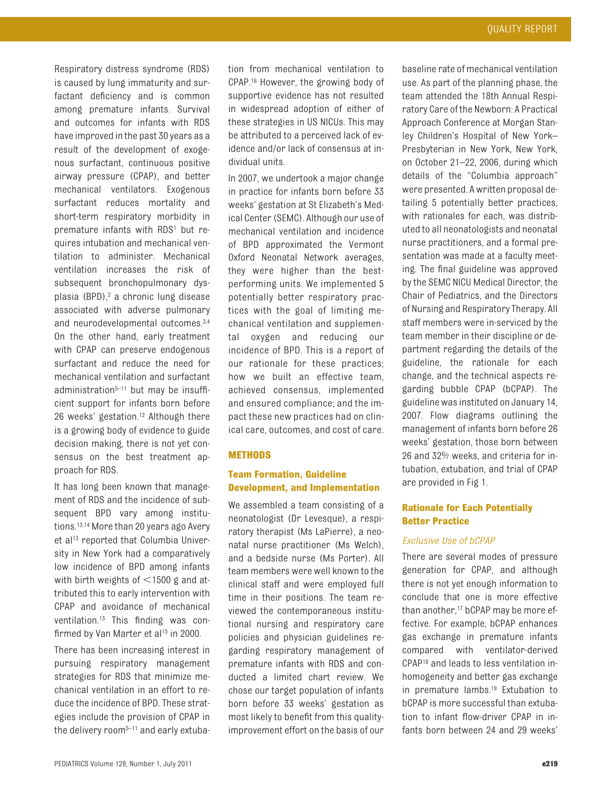Respiratory distress syndrome (RDS) is caused by lung immaturity and surfactant deficiency and is common among premature infants. Survival and outcomes for infants with RDS have improved in the past 30 years as a result of the development of exogenous surfactant, continuous positive airway pressure (CPAP), and better mechanical ventilators. Exogenous surfactant reduces mortality and short-term respiratory morbidity in premature infants with RDS<sup>1</sup> but requires intubation and mechanical ventilation to administer. Mechanical ventilation increases the risk of subsequent bronchopulmonary dysplasia (BPD),<sup>2</sup> a chronic lung disease associated with adverse pulmonary and neurodevelopmental outcomes.<sup>3[,4](#page-8-3)</sup> On the other hand, early treatment with CPAP can preserve endogenous surfactant and reduce the need for mechanical ventilation and surfactant administration $5-11$  $5-11$  but may be insufficient support for infants born before 26 weeks' gestation[.12](#page-8-6) Although there is a growing body of evidence to guide decision making, there is not yet consensus on the best treatment approach for RDS.

It has long been known that management of RDS and the incidence of subsequent BPD vary among institutions[.13](#page-8-7)[,14](#page-8-8) More than 20 years ago Avery et al<sup>13</sup> reported that Columbia University in New York had a comparatively low incidence of BPD among infants with birth weights of  $\leq$ 1500 g and attributed this to early intervention with CPAP and avoidance of mechanical ventilation[.13](#page-8-7) This finding was confirmed by Van Marter et al<sup>15</sup> in 2000.

There has been increasing interest in pursuing respiratory management strategies for RDS that minimize mechanical ventilation in an effort to reduce the incidence of BPD. These strategies include the provision of CPAP in the delivery room<sup>5-[11](#page-8-5)</sup> and early extubation from mechanical ventilation to CPAP[.16](#page-8-10) However, the growing body of supportive evidence has not resulted in widespread adoption of either of these strategies in US NICUs. This may be attributed to a perceived lack of evidence and/or lack of consensus at individual units.

In 2007, we undertook a major change in practice for infants born before 33 weeks' gestation at St Elizabeth's Medical Center (SEMC). Although our use of mechanical ventilation and incidence of BPD approximated the Vermont Oxford Neonatal Network averages, they were higher than the bestperforming units. We implemented 5 potentially better respiratory practices with the goal of limiting mechanical ventilation and supplemental oxygen and reducing our incidence of BPD. This is a report of our rationale for these practices; how we built an effective team, achieved consensus, implemented and ensured compliance; and the impact these new practices had on clinical care, outcomes, and cost of care.

## **METHODS**

## **Team Formation, Guideline Development, and Implementation**

We assembled a team consisting of a neonatologist (Dr Levesque), a respiratory therapist (Ms LaPierre), a neonatal nurse practitioner (Ms Welch), and a bedside nurse (Ms Porter). All team members were well known to the clinical staff and were employed full time in their positions. The team reviewed the contemporaneous institutional nursing and respiratory care policies and physician guidelines regarding respiratory management of premature infants with RDS and conducted a limited chart review. We chose our target population of infants born before 33 weeks' gestation as most likely to benefit from this qualityimprovement effort on the basis of our

baseline rate of mechanical ventilation use. As part of the planning phase, the team attended the 18th Annual Respiratory Care of the Newborn: A Practical Approach Conference at Morgan Stanley Children's Hospital of New York– Presbyterian in New York, New York, on October 21–22, 2006, during which details of the "Columbia approach" were presented. A written proposal detailing 5 potentially better practices, with rationales for each, was distributed to all neonatologists and neonatal nurse practitioners, and a formal presentation was made at a faculty meeting. The final guideline was approved by the SEMC NICU Medical Director, the Chair of Pediatrics, and the Directors of Nursing and Respiratory Therapy. All staff members were in-serviced by the team member in their discipline or department regarding the details of the guideline, the rationale for each change, and the technical aspects regarding bubble CPAP (bCPAP). The guideline was instituted on January 14, 2007. Flow diagrams outlining the management of infants born before 26 weeks' gestation, those born between 26 and 326⁄7 weeks, and criteria for intubation, extubation, and trial of CPAP are provided in [Fig 1.](#page-2-0)

## **Rationale for Each Potentially Better Practice**

## *Exclusive Use of bCPAP*

There are several modes of pressure generation for CPAP, and although there is not yet enough information to conclude that one is more effective than another[,17](#page-8-11) bCPAP may be more effective. For example, bCPAP enhances gas exchange in premature infants compared with ventilator-derived CPA[P18](#page-8-12) and leads to less ventilation inhomogeneity and better gas exchange in premature lambs.<sup>19</sup> Extubation to bCPAP is more successful than extubation to infant flow-driver CPAP in infants born between 24 and 29 weeks'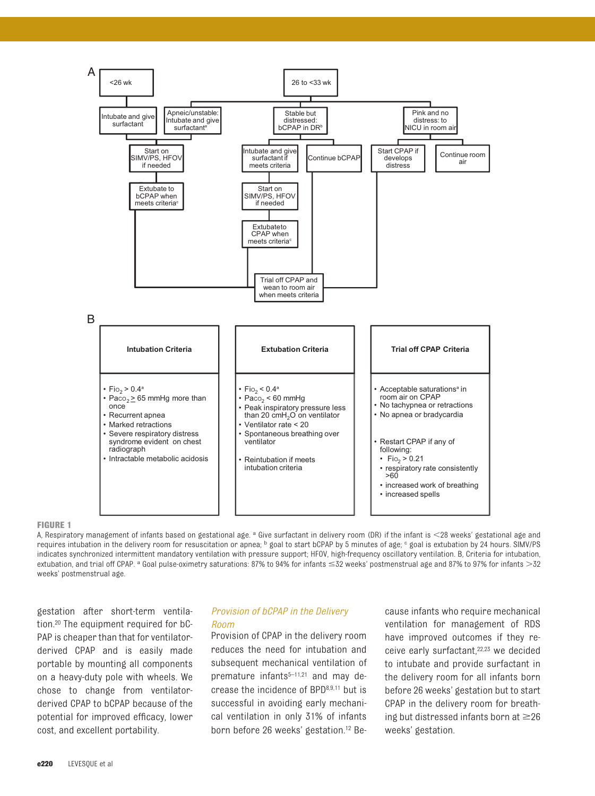

#### <span id="page-2-0"></span>**FIGURE 1**

A, Respiratory management of infants based on gestational age. <sup>a</sup> Give surfactant in delivery room (DR) if the infant is <28 weeks' gestational age and requires intubation in the delivery room for resuscitation or apnea; <sup>b</sup> goal to start bCPAP by 5 minutes of age; <sup>c</sup> goal is extubation by 24 hours. SIMV/PS indicates synchronized intermittent mandatory ventilation with pressure support; HFOV, high-frequency oscillatory ventilation. B, Criteria for intubation, extubation, and trial off CPAP.<sup>a</sup> Goal pulse-oximetry saturations: 87% to 94% for infants ≤32 weeks' postmenstrual age and 87% to 97% for infants >32 weeks' postmenstrual age.

gestation after short-term ventilation[.20](#page-8-14) The equipment required for bC-PAP is cheaper than that for ventilatorderived CPAP and is easily made portable by mounting all components on a heavy-duty pole with wheels. We chose to change from ventilatorderived CPAP to bCPAP because of the potential for improved efficacy, lower cost, and excellent portability.

## *Provision of bCPAP in the Delivery Room*

Provision of CPAP in the delivery room reduces the need for intubation and subsequent mechanical ventilation of premature infants<sup>5-11,[21](#page-8-15)</sup> and may decrease the incidence of BP[D8,](#page-8-16)[9,](#page-8-17)[11](#page-8-5) but is successful in avoiding early mechanical ventilation in only 31% of infants born before 26 weeks' gestation[.12](#page-8-6) Because infants who require mechanical ventilation for management of RDS have improved outcomes if they re-ceive early surfactant,<sup>22[,23](#page-8-19)</sup> we decided to intubate and provide surfactant in the delivery room for all infants born before 26 weeks' gestation but to start CPAP in the delivery room for breathing but distressed infants born at  $\geq 26$ weeks' gestation.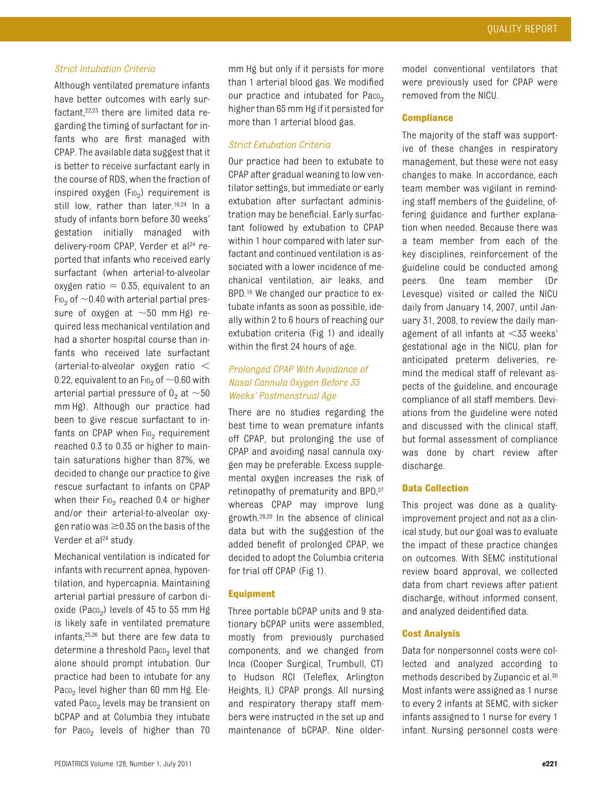## *Strict Intubation Criteria*

Although ventilated premature infants have better outcomes with early surfactant[,22,](#page-8-18)[23](#page-8-19) there are limited data regarding the timing of surfactant for infants who are first managed with CPAP. The available data suggest that it is better to receive surfactant early in the course of RDS, when the fraction of inspired oxygen (F<sub>IO<sub>2</sub>) requirement is</sub> still low, rather than later.<sup>16,[24](#page-8-20)</sup> In a study of infants born before 30 weeks' gestation initially managed with delivery-room CPAP, Verder et al<sup>24</sup> reported that infants who received early surfactant (when arterial-to-alveolar oxygen ratio  $= 0.35$ , equivalent to an F<sub>10</sub>, of  $\sim$  0.40 with arterial partial pressure of oxygen at  $\sim$ 50 mm Hg) required less mechanical ventilation and had a shorter hospital course than infants who received late surfactant (arterial-to-alveolar oxygen ratio 0.22, equivalent to an F<sub>10</sub> of  $\sim$  0.60 with arterial partial pressure of  $0<sub>2</sub>$  at  $\sim$  50 mm Hg). Although our practice had been to give rescue surfactant to infants on CPAP when  $F10<sub>2</sub>$  requirement reached 0.3 to 0.35 or higher to maintain saturations higher than 87%, we decided to change our practice to give rescue surfactant to infants on CPAP when their  $F10<sub>2</sub>$  reached 0.4 or higher and/or their arterial-to-alveolar oxygen ratio was  $\geq$ 0.35 on the basis of the Verder et al<sup>24</sup> study.

Mechanical ventilation is indicated for infants with recurrent apnea, hypoventilation, and hypercapnia. Maintaining arterial partial pressure of carbon dioxide (Paco<sub>2</sub>) levels of 45 to 55 mm Hg is likely safe in ventilated premature infants[,25](#page-8-21)[,26](#page-8-22) but there are few data to determine a threshold Paco<sub>2</sub> level that alone should prompt intubation. Our practice had been to intubate for any Paco<sub>2</sub> level higher than 60 mm Hg. Elevated Paco<sub>2</sub> levels may be transient on bCPAP and at Columbia they intubate for Paco<sub>2</sub> levels of higher than  $70$  mm Hg but only if it persists for more than 1 arterial blood gas. We modified our practice and intubated for Paco<sub>2</sub> higher than 65 mm Hg if it persisted for more than 1 arterial blood gas.

## *Strict Extubation Criteria*

Our practice had been to extubate to CPAP after gradual weaning to low ventilator settings, but immediate or early extubation after surfactant administration may be beneficial. Early surfactant followed by extubation to CPAP within 1 hour compared with later surfactant and continued ventilation is associated with a lower incidence of mechanical ventilation, air leaks, and BPD.<sup>16</sup> We changed our practice to extubate infants as soon as possible, ideally within 2 to 6 hours of reaching our extubation criteria [\(Fig 1\)](#page-2-0) and ideally within the first 24 hours of age.

## *Prolonged CPAP With Avoidance of Nasal Cannula Oxygen Before 35 Weeks' Postmenstrual Age*

There are no studies regarding the best time to wean premature infants off CPAP, but prolonging the use of CPAP and avoiding nasal cannula oxygen may be preferable. Excess supplemental oxygen increases the risk of retinopathy of prematurity and BPD, 27 whereas CPAP may improve lung growth[.28](#page-8-24)[,29](#page-8-25) In the absence of clinical data but with the suggestion of the added benefit of prolonged CPAP, we decided to adopt the Columbia criteria for trial off CPAP [\(Fig 1\)](#page-2-0).

## **Equipment**

Three portable bCPAP units and 9 stationary bCPAP units were assembled, mostly from previously purchased components, and we changed from Inca (Cooper Surgical, Trumbull, CT) to Hudson RCI (Teleflex, Arlington Heights, IL) CPAP prongs. All nursing and respiratory therapy staff members were instructed in the set up and maintenance of bCPAP. Nine older-

model conventional ventilators that were previously used for CPAP were removed from the NICU.

### **Compliance**

The majority of the staff was supportive of these changes in respiratory management, but these were not easy changes to make. In accordance, each team member was vigilant in reminding staff members of the guideline, offering guidance and further explanation when needed. Because there was a team member from each of the key disciplines, reinforcement of the guideline could be conducted among peers. One team member (Dr Levesque) visited or called the NICU daily from January 14, 2007, until January 31, 2008, to review the daily management of all infants at  $<$ 33 weeks' gestational age in the NICU, plan for anticipated preterm deliveries, remind the medical staff of relevant aspects of the guideline, and encourage compliance of all staff members. Deviations from the guideline were noted and discussed with the clinical staff, but formal assessment of compliance was done by chart review after discharge.

## **Data Collection**

This project was done as a qualityimprovement project and not as a clinical study, but our goal was to evaluate the impact of these practice changes on outcomes. With SEMC institutional review board approval, we collected data from chart reviews after patient discharge, without informed consent, and analyzed deidentified data.

## **Cost Analysis**

Data for nonpersonnel costs were collected and analyzed according to methods described by Zupancic et al[.30](#page-8-26) Most infants were assigned as 1 nurse to every 2 infants at SEMC, with sicker infants assigned to 1 nurse for every 1 infant. Nursing personnel costs were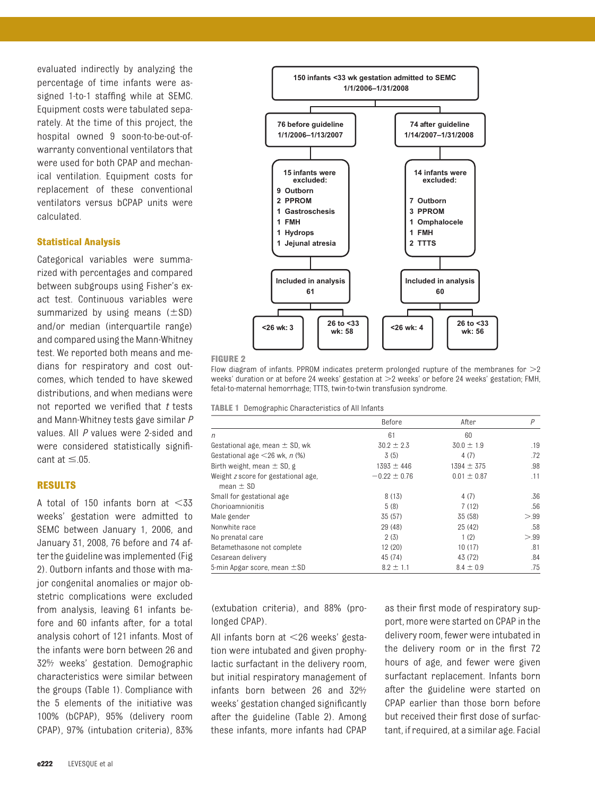evaluated indirectly by analyzing the percentage of time infants were assigned 1-to-1 staffing while at SEMC. Equipment costs were tabulated separately. At the time of this project, the hospital owned 9 soon-to-be-out-ofwarranty conventional ventilators that were used for both CPAP and mechanical ventilation. Equipment costs for replacement of these conventional ventilators versus bCPAP units were calculated.

## **Statistical Analysis**

Categorical variables were summarized with percentages and compared between subgroups using Fisher's exact test. Continuous variables were summarized by using means  $(\pm SD)$ and/or median (interquartile range) and compared using the Mann-Whitney test. We reported both means and medians for respiratory and cost outcomes, which tended to have skewed distributions, and when medians were not reported we verified that *t* tests and Mann-Whitney tests gave similar *P* values. All *P* values were 2-sided and were considered statistically significant at  $\leq$  05.

## **RESULTS**

A total of 150 infants born at  $<$ 33 weeks' gestation were admitted to SEMC between January 1, 2006, and January 31, 2008, 76 before and 74 after the guideline was implemented [\(Fig](#page-4-0) [2\)](#page-4-0). Outborn infants and those with major congenital anomalies or major obstetric complications were excluded from analysis, leaving 61 infants before and 60 infants after, for a total analysis cohort of 121 infants. Most of the infants were born between 26 and 326⁄7 weeks' gestation. Demographic characteristics were similar between the groups [\(Table 1\)](#page-4-1). Compliance with the 5 elements of the initiative was 100% (bCPAP), 95% (delivery room CPAP), 97% (intubation criteria), 83%



<span id="page-4-0"></span>**FIGURE 2**

Flow diagram of infants. PPROM indicates preterm prolonged rupture of the membranes for  $>2$ weeks' duration or at before 24 weeks' gestation at  $>$ 2 weeks' or before 24 weeks' gestation; FMH, fetal-to-maternal hemorrhage; TTTS, twin-to-twin transfusion syndrome.

<span id="page-4-1"></span>**TABLE 1** Demographic Characteristics of All Infants

|                                                      | Before           | After           | P    |
|------------------------------------------------------|------------------|-----------------|------|
| $\sqrt{n}$                                           | 61               | 60              |      |
| Gestational age, mean $\pm$ SD, wk                   | $30.2 \pm 2.3$   | $30.0 \pm 1.9$  | .19  |
| Gestational age $\leq$ 26 wk, n (%)                  | 3(5)             | 4(7)            | .72  |
| Birth weight, mean $\pm$ SD, g                       | $1393 \pm 446$   | $1394 \pm 375$  | .98  |
| Weight z score for gestational age,<br>mean $\pm$ SD | $-0.22 \pm 0.76$ | $0.01 \pm 0.87$ | .11  |
| Small for gestational age                            | 8(13)            | 4(7)            | .36  |
| Chorioamnionitis                                     | 5(8)             | 7(12)           | .56  |
| Male gender                                          | 35 (57)          | 35 (58)         | > 99 |
| Nonwhite race                                        | 29 (48)          | 25(42)          | .58  |
| No prenatal care                                     | 2(3)             | 1(2)            | > 99 |
| Betamethasone not complete                           | 12(20)           | 10(17)          | .81  |
| Cesarean delivery                                    | 45 (74)          | 43 (72)         | .84  |
| 5-min Apgar score, mean $\pm$ SD                     | $8.2 \pm 1.1$    | $8.4 \pm 0.9$   | .75  |

(extubation criteria), and 88% (prolonged CPAP).

All infants born at <26 weeks' gestation were intubated and given prophylactic surfactant in the delivery room, but initial respiratory management of infants born between 26 and  $32\%$ weeks' gestation changed significantly after the guideline [\(Table 2\)](#page-5-0). Among these infants, more infants had CPAP

as their first mode of respiratory support, more were started on CPAP in the delivery room, fewer were intubated in the delivery room or in the first 72 hours of age, and fewer were given surfactant replacement. Infants born after the guideline were started on CPAP earlier than those born before but received their first dose of surfactant, if required, at a similar age. Facial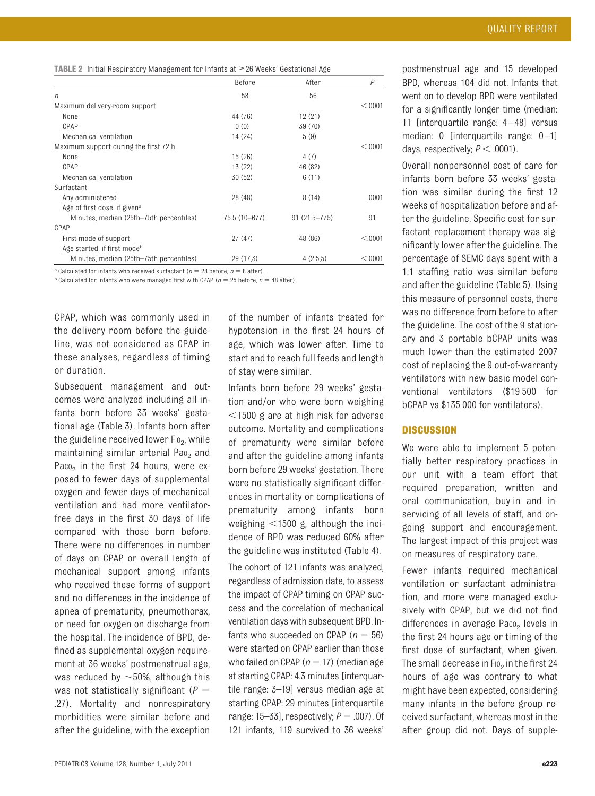<span id="page-5-0"></span>

|  |  | <b>TABLE 2</b> Initial Respiratory Management for Infants at $\geq$ 26 Weeks' Gestational Age |  |  |  |  |
|--|--|-----------------------------------------------------------------------------------------------|--|--|--|--|
|--|--|-----------------------------------------------------------------------------------------------|--|--|--|--|

|                                          | Before        | After            | $\overline{P}$ |
|------------------------------------------|---------------|------------------|----------------|
| n                                        | 58            | 56               |                |
| Maximum delivery-room support            |               |                  | < 0.001        |
| None                                     | 44 (76)       | 12(21)           |                |
| CPAP                                     | 0(0)          | 39 (70)          |                |
| Mechanical ventilation                   | 14 (24)       | 5(9)             |                |
| Maximum support during the first 72 h    |               |                  | < 0.001        |
| None                                     | 15 (26)       | 4(7)             |                |
| CPAP                                     | 13 (22)       | 46 (82)          |                |
| Mechanical ventilation                   | 30 (52)       | 6(11)            |                |
| Surfactant                               |               |                  |                |
| Any administered                         | 28 (48)       | 8(14)            | .0001          |
| Age of first dose, if given <sup>a</sup> |               |                  |                |
| Minutes, median (25th–75th percentiles)  | 75.5 (10-677) | $91(21.5 - 775)$ | .91            |
| CPAP                                     |               |                  |                |
| First mode of support                    | 27 (47)       | 48 (86)          | < 0.001        |
| Age started, if first mode <sup>b</sup>  |               |                  |                |
| Minutes, median (25th–75th percentiles)  | 29 (17.3)     | 4(2.5.5)         | < 0.001        |

<sup>a</sup> Calculated for infants who received surfactant ( $n = 28$  before,  $n = 8$  after).

 $b$  Calculated for infants who were managed first with CPAP ( $n = 25$  before,  $n = 48$  after).

CPAP, which was commonly used in the delivery room before the guideline, was not considered as CPAP in these analyses, regardless of timing or duration.

Subsequent management and outcomes were analyzed including all infants born before 33 weeks' gestational age [\(Table 3\)](#page-6-0). Infants born after the guideline received lower  $F_{102}$ , while maintaining similar arterial Pao<sub>2</sub> and Paco<sub>2</sub> in the first 24 hours, were exposed to fewer days of supplemental oxygen and fewer days of mechanical ventilation and had more ventilatorfree days in the first 30 days of life compared with those born before. There were no differences in number of days on CPAP or overall length of mechanical support among infants who received these forms of support and no differences in the incidence of apnea of prematurity, pneumothorax, or need for oxygen on discharge from the hospital. The incidence of BPD, defined as supplemental oxygen requirement at 36 weeks' postmenstrual age, was reduced by  $\sim$ 50%, although this was not statistically significant ( $P =$ .27). Mortality and nonrespiratory morbidities were similar before and after the guideline, with the exception of the number of infants treated for hypotension in the first 24 hours of age, which was lower after. Time to start and to reach full feeds and length of stay were similar.

Infants born before 29 weeks' gestation and/or who were born weighing  $1500$  g are at high risk for adverse outcome. Mortality and complications of prematurity were similar before and after the guideline among infants born before 29 weeks' gestation. There were no statistically significant differences in mortality or complications of prematurity among infants born weighing  $<$ 1500 g, although the incidence of BPD was reduced 60% after the guideline was instituted [\(Table 4\)](#page-7-0).

The cohort of 121 infants was analyzed, regardless of admission date, to assess the impact of CPAP timing on CPAP success and the correlation of mechanical ventilation days with subsequent BPD. Infants who succeeded on CPAP  $(n = 56)$ were started on CPAP earlier than those who failed on CPAP ( $n = 17$ ) (median age at starting CPAP: 4.3 minutes [interquartile range: 3–19] versus median age at starting CPAP: 29 minutes [interquartile range:  $15-33$ ], respectively;  $P = .007$ ). Of 121 infants, 119 survived to 36 weeks'

postmenstrual age and 15 developed BPD, whereas 104 did not. Infants that went on to develop BPD were ventilated for a significantly longer time (median: 11 [interquartile range: 4 –48] versus median: 0 [interquartile range: 0-1] days, respectively;  $P < .0001$ ).

Overall nonpersonnel cost of care for infants born before 33 weeks' gestation was similar during the first 12 weeks of hospitalization before and after the guideline. Specific cost for surfactant replacement therapy was significantly lower after the guideline. The percentage of SEMC days spent with a 1:1 staffing ratio was similar before and after the guideline [\(Table 5\)](#page-7-1). Using this measure of personnel costs, there was no difference from before to after the guideline. The cost of the 9 stationary and 3 portable bCPAP units was much lower than the estimated 2007 cost of replacing the 9 out-of-warranty ventilators with new basic model conventional ventilators (\$19 500 for bCPAP vs \$135 000 for ventilators).

## **DISCUSSION**

We were able to implement 5 potentially better respiratory practices in our unit with a team effort that required preparation, written and oral communication, buy-in and inservicing of all levels of staff, and ongoing support and encouragement. The largest impact of this project was on measures of respiratory care.

Fewer infants required mechanical ventilation or surfactant administration, and more were managed exclusively with CPAP, but we did not find differences in average Paco<sub>2</sub> levels in the first 24 hours age or timing of the first dose of surfactant, when given. The small decrease in  $F10<sub>2</sub>$  in the first 24 hours of age was contrary to what might have been expected, considering many infants in the before group received surfactant, whereas most in the after group did not. Days of supple-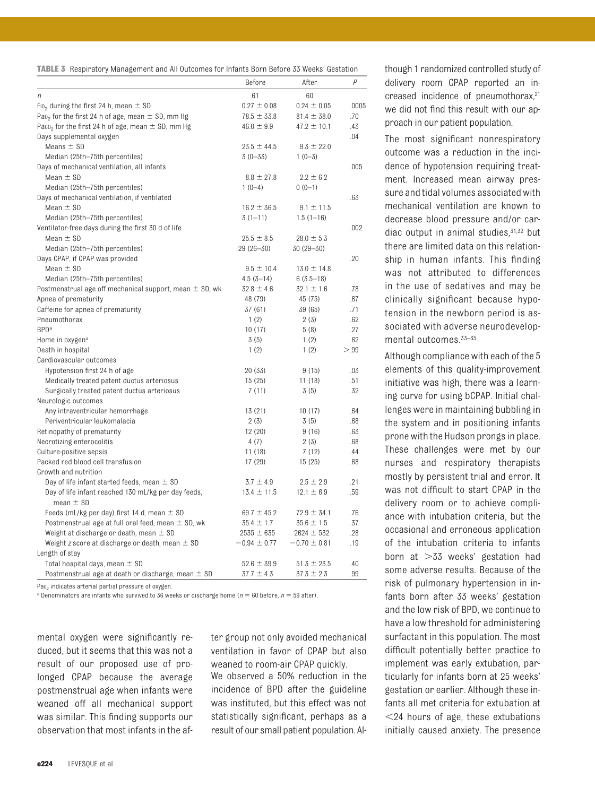<span id="page-6-0"></span>

|                                                                   | Before           | After            | P     |
|-------------------------------------------------------------------|------------------|------------------|-------|
| n                                                                 | 61               | 60               |       |
| Fio <sub>2</sub> during the first 24 h, mean $\pm$ SD             | $0.27 \pm 0.08$  | $0.24 \pm 0.05$  | .0005 |
| Pao <sub>2</sub> for the first 24 h of age, mean $\pm$ SD, mm Hg  | $78.5 \pm 33.8$  | $81.4 \pm 38.0$  | .70   |
| Paco <sub>2</sub> for the first 24 h of age, mean $\pm$ SD, mm Hg | $46.0 \pm 9.9$   | $47.2 \pm 10.1$  | .43   |
| Days supplemental oxygen                                          |                  |                  | .04   |
| Means $\pm$ SD                                                    | $23.5 \pm 44.5$  | $9.3 \pm 22.0$   |       |
| Median (25th-75th percentiles)                                    | $3(0 - 33)$      | $1(0-3)$         |       |
| Days of mechanical ventilation, all infants                       |                  |                  | .005  |
| Mean $\pm$ SD                                                     | $8.8 \pm 27.8$   | $2.2 \pm 6.2$    |       |
| Median (25th-75th percentiles)                                    | $1(0-4)$         | $0(0-1)$         |       |
| Days of mechanical ventilation, if ventilated                     |                  |                  | .63   |
| Mean $\pm$ SD                                                     | $16.2 \pm 36.5$  | $9.1 \pm 11.5$   |       |
| Median (25th-75th percentiles)                                    | $3(1-11)$        | $1.5(1-16)$      |       |
| Ventilator-free days during the first 30 d of life                |                  |                  | .002  |
| Mean $\pm$ SD                                                     | $25.5 \pm 8.5$   | $28.0 \pm 5.3$   |       |
| Median (25th-75th percentiles)                                    | $29(26 - 30)$    | $30(29 - 30)$    |       |
| Days CPAP, if CPAP was provided                                   |                  |                  | .20   |
| Mean $\pm$ SD                                                     | $9.5 \pm 10.4$   | $13.0 \pm 14.8$  |       |
| Median (25th-75th percentiles)                                    | $4.5(3 - 14)$    | $6(3.5-18)$      |       |
| Postmenstrual age off mechanical support, mean $\pm$ SD, wk       | $32.8 \pm 4.6$   | $32.1 \pm 1.6$   | .78   |
|                                                                   |                  |                  | .67   |
| Apnea of prematurity                                              | 48 (79)          | 45 (75)          |       |
| Caffeine for apnea of prematurity                                 | 37(61)           | 39 (65)          | .71   |
| Pneumothorax                                                      | 1(2)             | 2(3)             | .62   |
| <b>BPD</b> <sup>a</sup>                                           | 10(17)           | 5(8)             | .27   |
| Home in oxygen <sup>a</sup>                                       | 3(5)             | 1(2)             | .62   |
| Death in hospital                                                 | 1(2)             | 1(2)             | > 99  |
| Cardiovascular outcomes                                           |                  |                  |       |
| Hypotension first 24 h of age                                     | 20(33)           | 9(15)            | .03   |
| Medically treated patent ductus arteriosus                        | 15(25)           | 11(18)           | .51   |
| Surgically treated patent ductus arteriosus                       | 7(11)            | 3(5)             | .32   |
| Neurologic outcomes                                               |                  |                  |       |
| Any intraventricular hemorrhage                                   | 13(21)           | 10(17)           | .64   |
| Periventricular leukomalacia                                      | 2(3)             | 3(5)             | .68   |
| Retinopathy of prematurity                                        | 12(20)           | 9(16)            | .63   |
| Necrotizing enterocolitis                                         | 4(7)             | 2(3)             | .68   |
| Culture-positive sepsis                                           | 11 (18)          | 7(12)            | .44   |
| Packed red blood cell transfusion                                 | 17 (29)          | 15(25)           | .68   |
| Growth and nutrition                                              |                  |                  |       |
| Day of life infant started feeds, mean $\pm$ SD                   | $3.7 \pm 4.9$    | $2.5 \pm 2.9$    | .21   |
| Day of life infant reached 130 mL/kg per day feeds,               | $13.4 \pm 11.5$  | $12.1 \pm 6.9$   | .59   |
| mean $\pm$ SD                                                     | $69.7 \pm 45.2$  | $72.9 \pm 34.1$  | .76   |
| Feeds (mL/kg per day) first 14 d, mean $\pm$ SD                   |                  |                  |       |
| Postmenstrual age at full oral feed, mean $\pm$ SD, wk            | $35.4 \pm 1.7$   | $35.6 \pm 1.5$   | .37   |
| Weight at discharge or death, mean $\pm$ SD                       | $2535 \pm 635$   | $2624 \pm 532$   | .28   |
| Weight z score at discharge or death, mean $\pm$ SD               | $-0.94 \pm 0.77$ | $-0.70 \pm 0.81$ | .19   |
| Length of stay                                                    |                  |                  |       |
| Total hospital days, mean $\pm$ SD                                | $52.6 \pm 39.9$  | $51.3 \pm 23.5$  | .40   |
| Postmenstrual age at death or discharge, mean ± SD                | $37.7 \pm 4.3$   | $37.3 \pm 2.3$   | .99   |

Pao<sub>2</sub> indicates arterial partial pressure of oxygen.

<sup>a</sup> Denominators are infants who survived to 36 weeks or discharge home ( $n = 60$  before,  $n = 59$  after).

mental oxygen were significantly reduced, but it seems that this was not a result of our proposed use of prolonged CPAP because the average postmenstrual age when infants were weaned off all mechanical support was similar. This finding supports our observation that most infants in the after group not only avoided mechanical ventilation in favor of CPAP but also weaned to room-air CPAP quickly.

We observed a 50% reduction in the incidence of BPD after the guideline was instituted, but this effect was not statistically significant, perhaps as a result of our small patient population. Although 1 randomized controlled study of delivery room CPAP reported an increased incidence of pneumothorax,<sup>21</sup> we did not find this result with our approach in our patient population.

The most significant nonrespiratory outcome was a reduction in the incidence of hypotension requiring treatment. Increased mean airway pressure and tidal volumes associated with mechanical ventilation are known to decrease blood pressure and/or cardiac output in animal studies, $31,32$  $31,32$  but there are limited data on this relationship in human infants. This finding was not attributed to differences in the use of sedatives and may be clinically significant because hypotension in the newborn period is associated with adverse neurodevelopmental outcomes[.33](#page-8-29)[–35](#page-8-30)

Although compliance with each of the 5 elements of this quality-improvement initiative was high, there was a learning curve for using bCPAP. Initial challenges were in maintaining bubbling in the system and in positioning infants prone with the Hudson prongs in place. These challenges were met by our nurses and respiratory therapists mostly by persistent trial and error. It was not difficult to start CPAP in the delivery room or to achieve compliance with intubation criteria, but the occasional and erroneous application of the intubation criteria to infants born at  $>33$  weeks' gestation had some adverse results. Because of the risk of pulmonary hypertension in infants born after 33 weeks' gestation and the low risk of BPD, we continue to have a low threshold for administering surfactant in this population. The most difficult potentially better practice to implement was early extubation, particularly for infants born at 25 weeks' gestation or earlier. Although these infants all met criteria for extubation at 24 hours of age, these extubations initially caused anxiety. The presence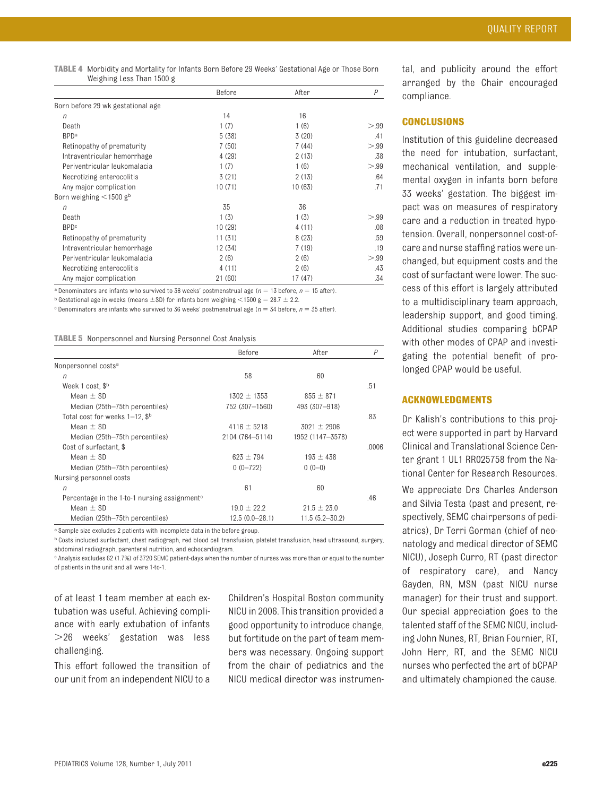<span id="page-7-0"></span>**TABLE 4** Morbidity and Mortality for Infants Born Before 29 Weeks' Gestational Age or Those Born Weighing Less Than 1500 g

|                                   | Before  | After   | P    |
|-----------------------------------|---------|---------|------|
| Born before 29 wk gestational age |         |         |      |
| $\eta$                            | 14      | 16      |      |
| Death                             | 1(7)    | 1(6)    | > 99 |
| <b>BPD</b> <sup>a</sup>           | 5(38)   | 3(20)   | .41  |
| Retinopathy of prematurity        | 7(50)   | 7(44)   | > 99 |
| Intraventricular hemorrhage       | 4(29)   | 2(13)   | .38  |
| Periventricular leukomalacia      | 1(7)    | 1(6)    | > 99 |
| Necrotizing enterocolitis         | 3(21)   | 2(13)   | .64  |
| Any major complication            | 10(71)  | 10(63)  | .71  |
| Born weighing $\leq$ 1500 gb      |         |         |      |
| $\eta$                            | 35      | 36      |      |
| Death                             | 1(3)    | 1(3)    | > 99 |
| <b>BPD</b> <sup>c</sup>           | 10(29)  | 4 (11)  | .08  |
| Retinopathy of prematurity        | 11(31)  | 8(23)   | .59  |
| Intraventricular hemorrhage       | 12 (34) | 7(19)   | .19  |
| Periventricular leukomalacia      | 2(6)    | 2(6)    | > 99 |
| Necrotizing enterocolitis         | 4(11)   | 2(6)    | .43  |
| Any major complication            | 21 (60) | 17 (47) | .34  |

<sup>a</sup> Denominators are infants who survived to 36 weeks' postmenstrual age ( $n = 13$  before,  $n = 15$  after).

 $b$  Gestational age in weeks (means  $\pm$ SD) for infants born weighing <1500 g = 28.7  $\pm$  2.2.

 $\degree$  Denominators are infants who survived to 36 weeks' postmenstrual age ( $n = 34$  before,  $n = 35$  after).

<span id="page-7-1"></span>**TABLE 5** Nonpersonnel and Nursing Personnel Cost Analysis

|                                                          | Before           | After              | P     |
|----------------------------------------------------------|------------------|--------------------|-------|
| Nonpersonnel costs <sup>a</sup>                          |                  |                    |       |
| $\eta$                                                   | 58               | 60                 |       |
| Week 1 cost, \$ <sup>b</sup>                             |                  |                    | .51   |
| Mean $\pm$ SD                                            | $1302 \pm 1353$  | $855 \pm 871$      |       |
| Median (25th–75th percentiles)                           | 752 (307-1560)   | 493 (307-918)      |       |
| Total cost for weeks $1-12$ , $\mathcal{S}^{\rm b}$      |                  |                    | .83   |
| Mean $\pm$ SD                                            | $4116 \pm 5218$  | $3021 \pm 2906$    |       |
| Median (25th-75th percentiles)                           | 2104 (764-5114)  | 1952 (1147-3578)   |       |
| Cost of surfactant, \$                                   |                  |                    | .0006 |
| Mean $\pm$ SD                                            | $623 + 794$      | $193 \pm 438$      |       |
| Median (25th–75th percentiles)                           | $0(0-722)$       | $0(0-0)$           |       |
| Nursing personnel costs                                  |                  |                    |       |
| $\eta$                                                   | 61               | 60                 |       |
| Percentage in the 1-to-1 nursing assignment <sup>c</sup> |                  |                    | .46   |
| Mean $\pm$ SD                                            | $19.0 \pm 22.2$  | $21.5 \pm 23.0$    |       |
| Median (25th-75th percentiles)                           | $12.5(0.0-28.1)$ | $11.5(5.2 - 30.2)$ |       |

<sup>a</sup> Sample size excludes 2 patients with incomplete data in the before group.

b Costs included surfactant, chest radiograph, red blood cell transfusion, platelet transfusion, head ultrasound, surgery, abdominal radiograph, parenteral nutrition, and echocardiogram.

c Analysis excludes 62 (1.7%) of 3720 SEMC patient-days when the number of nurses was more than or equal to the number of patients in the unit and all were 1-to-1.

of at least 1 team member at each extubation was useful. Achieving compliance with early extubation of infants 26 weeks' gestation was less challenging.

This effort followed the transition of our unit from an independent NICU to a Children's Hospital Boston community NICU in 2006. This transition provided a good opportunity to introduce change, but fortitude on the part of team members was necessary. Ongoing support from the chair of pediatrics and the NICU medical director was instrumental, and publicity around the effort arranged by the Chair encouraged compliance.

## **CONCLUSIONS**

Institution of this guideline decreased the need for intubation, surfactant, mechanical ventilation, and supplemental oxygen in infants born before 33 weeks' gestation. The biggest impact was on measures of respiratory care and a reduction in treated hypotension. Overall, nonpersonnel cost-ofcare and nurse staffing ratios were unchanged, but equipment costs and the cost of surfactant were lower. The success of this effort is largely attributed to a multidisciplinary team approach, leadership support, and good timing. Additional studies comparing bCPAP with other modes of CPAP and investigating the potential benefit of prolonged CPAP would be useful.

## **ACKNOWLEDGMENTS**

Dr Kalish's contributions to this project were supported in part by Harvard Clinical and Translational Science Center grant 1 UL1 RR025758 from the National Center for Research Resources.

We appreciate Drs Charles Anderson and Silvia Testa (past and present, respectively, SEMC chairpersons of pediatrics), Dr Terri Gorman (chief of neonatology and medical director of SEMC NICU), Joseph Curro, RT (past director of respiratory care), and Nancy Gayden, RN, MSN (past NICU nurse manager) for their trust and support. Our special appreciation goes to the talented staff of the SEMC NICU, including John Nunes, RT, Brian Fournier, RT, John Herr, RT, and the SEMC NICU nurses who perfected the art of bCPAP and ultimately championed the cause.